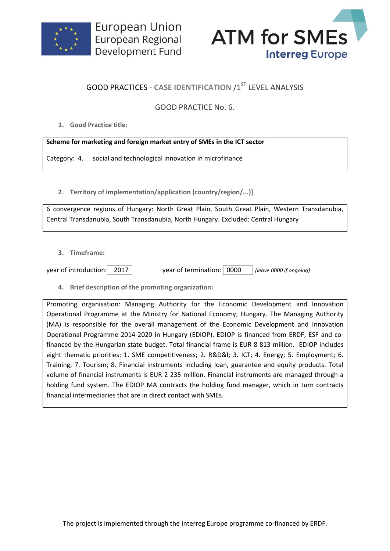



## **GOOD PRACTICES - CASE IDENTIFICATION /1ST LEVEL ANALYSIS**

## GOOD PRACTICE No. 6.

**1. Good Practice title:**

## **Scheme for marketing and foreign market entry of SMEs in the ICT sector**

Category: 4. social and technological innovation in microfinance

**2. Territory of implementation/application (country/region/...)]**

6 convergence regions of Hungary: North Great Plain, South Great Plain, Western Transdanubia, Central Transdanubia, South Transdanubia, North Hungary. Excluded: Central Hungary

**3. Timeframe:**

| year of introduction: | 2017 |
|-----------------------|------|
|                       |      |

year of termination: 2000 *(leave 0000 if ongoing)* 

**4. Brief description of the promoting organization:**

Promoting organisation: Managing Authority for the Economic Development and Innovation Operational Programme at the Ministry for National Economy, Hungary. The Managing Authority (MA) is responsible for the overall management of the Economic Development and Innovation Operational Programme 2014-2020 in Hungary (EDIOP). EDIOP is financed from ERDF, ESF and cofinanced by the Hungarian state budget. Total financial frame is EUR 8 813 million. EDIOP includes eight thematic priorities: 1. SME competitiveness; 2. R&D&I; 3. ICT; 4. Energy; 5. Employment; 6. Training; 7. Tourism; 8. Financial instruments including loan, guarantee and equity products. Total volume of financial instruments is EUR 2 235 million. Financial instruments are managed through a holding fund system. The EDIOP MA contracts the holding fund manager, which in turn contracts financial intermediaries that are in direct contact with SMEs.